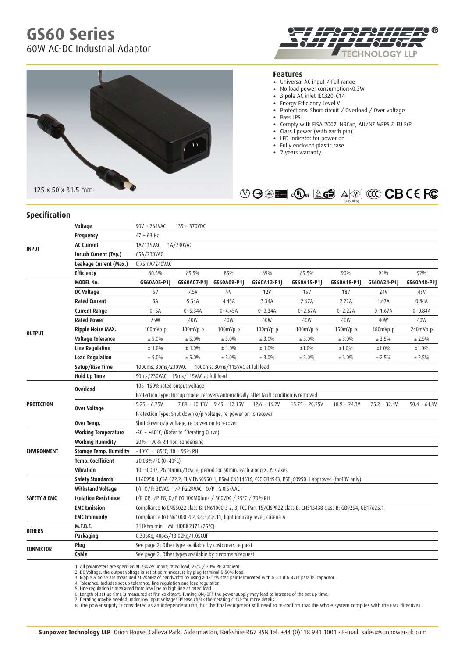# **GS60 Series** 60W AC-DC Industrial Adaptor





#### **Features**

- Universal AC input / Full range
- No load power consumption<0.3W
- 3 pole AC inlet IEC320-C14
- • Energy Efficiency Level <sup>V</sup>
- Protections: Short circuit / Overload / Over voltage
- • Pass LPS
- Comply with EISA 2007, NRCan, AU/NZ MEPS & EU ErP
- Class I power (with earth pin)
- • LED indicator for power on
- Fully enclosed plastic case
- 2 years warranty



### **Specification**

|                         | Voltage                       | 90V ~ 264VAC                                                                                                    | $135 - 370$ VDC                                        |                                  |                |                  |                |                |                |  |
|-------------------------|-------------------------------|-----------------------------------------------------------------------------------------------------------------|--------------------------------------------------------|----------------------------------|----------------|------------------|----------------|----------------|----------------|--|
| <b>INPUT</b>            | <b>Frequency</b>              | $47 - 63$ Hz                                                                                                    |                                                        |                                  |                |                  |                |                |                |  |
|                         | <b>AC Current</b>             | 1A/115VAC<br>1A/230VAC                                                                                          |                                                        |                                  |                |                  |                |                |                |  |
|                         | Inrush Current (Typ.)         | 65A/230VAC                                                                                                      |                                                        |                                  |                |                  |                |                |                |  |
|                         | Leakage Current (Max.)        | 0.75mA/240VAC                                                                                                   |                                                        |                                  |                |                  |                |                |                |  |
|                         | <b>Efficiency</b>             | 80.5%                                                                                                           | 85.5%                                                  | 85%                              | 89%            | 89.5%            | 90%            | 91%            | 92%            |  |
| <b>OUTPUT</b>           | <b>MODEL No.</b>              | GS60A05-P1J                                                                                                     | GS60A07-P1J                                            | GS60A09-P1J                      | GS60A12-P1J    | GS60A15-P1J      | GS60A18-P1J    | GS60A24-P1J    | GS60A48-P1J    |  |
|                         | DC Voltage                    | <b>5V</b>                                                                                                       | 7.5V                                                   | 9V                               | 12V            | <b>15V</b>       | <b>18V</b>     | 24V            | 48V            |  |
|                         | <b>Rated Current</b>          | 5A                                                                                                              | 5.34A                                                  | 4.45A                            | 3.34A          | 2.67A            | 2.22A          | 1.67A          | 0.84A          |  |
|                         | <b>Current Range</b>          | $0 - 5A$                                                                                                        | $0 - 5.34A$                                            | $0 - 4.45A$                      | $0 - 3.34A$    | $0 - 2.67A$      | $0 - 2.22A$    | $0 - 1.67A$    | $0 - 0.84A$    |  |
|                         | <b>Rated Power</b>            | 25W                                                                                                             | 40W                                                    | 40W                              | 40W            | 40W              | 40W            | 40W            | 40W            |  |
|                         | <b>Ripple Noise MAX.</b>      | 100mVp-p                                                                                                        | $100mVp-p$                                             | 100mVp-p                         | 100mVp-p       | 100mVp-p         | 150mVp-p       | 180mVp-p       | 240mVp-p       |  |
|                         | <b>Voltage Tolerance</b>      | ± 5.0%                                                                                                          | ± 5.0%                                                 | ± 5.0%                           | ± 3.0%         | ± 3.0%           | ± 3.0%         | ± 2.5%         | ± 2.5%         |  |
|                         | <b>Line Regulation</b>        | ± 1.0%                                                                                                          | ± 1.0%                                                 | ± 1.0%                           | ± 1.0%         | ±1.0%            | ±1.0%          | ±1.0%          | ±1.0%          |  |
|                         | <b>Load Regulation</b>        | ± 5.0%                                                                                                          | ± 5.0%                                                 | ± 5.0%                           | ± 3.0%         | ± 3.0%           | ± 3.0%         | ± 2.5%         | ± 2.5%         |  |
|                         | Setup/Rise Time               | 1000ms, 30ms/115VAC at full load<br>1000ms, 30ms/230VAC                                                         |                                                        |                                  |                |                  |                |                |                |  |
|                         | <b>Hold Up Time</b>           | 50ms/230VAC 15ms/115VAC at full load                                                                            |                                                        |                                  |                |                  |                |                |                |  |
|                         | <b>Overload</b>               | 105~150% rated output voltage                                                                                   |                                                        |                                  |                |                  |                |                |                |  |
| <b>PROTECTION</b>       |                               | Protection Type: Hiccup mode, recovers automatically after fault condition is removed                           |                                                        |                                  |                |                  |                |                |                |  |
|                         | <b>Over Voltage</b>           | $5.25 - 6.75V$                                                                                                  |                                                        | $7.88 \sim 10.13V$ 9.45 ~ 12.15V | $12.6 - 16.2V$ | $15.75 - 20.25V$ | $18.9 - 24.3V$ | $25.2 - 32.4V$ | $50.4 - 64.8V$ |  |
|                         |                               | Protection Type: Shut down o/p voltage, re-power on to recover                                                  |                                                        |                                  |                |                  |                |                |                |  |
|                         | Over Temp.                    | Shut down o/p voltage, re-power on to recover                                                                   |                                                        |                                  |                |                  |                |                |                |  |
| <b>ENVIRONMENT</b>      | <b>Working Temperature</b>    | -30 ~ +60°C, (Refer to "Derating Curve)                                                                         |                                                        |                                  |                |                  |                |                |                |  |
|                         | <b>Working Humidity</b>       | 20% ~ 90% RH non-condensing                                                                                     |                                                        |                                  |                |                  |                |                |                |  |
|                         | <b>Storage Temp, Humidity</b> | $-40^{\circ}$ C ~ +85°C, 10 ~ 95% RH                                                                            |                                                        |                                  |                |                  |                |                |                |  |
|                         | <b>Temp. Coefficient</b>      | ±0.03%/°C (0~40°C)                                                                                              |                                                        |                                  |                |                  |                |                |                |  |
|                         | <b>Vibration</b>              | 10~500Hz, 2G 10min./1cycle, period for 60min. each along X, Y, Z axes                                           |                                                        |                                  |                |                  |                |                |                |  |
| <b>SAFETY &amp; EMC</b> | <b>Safety Standards</b>       | UL60950-1, CSA C22.2, TUV EN60950-1, BSMI CNS14336, CCC GB4943, PSE J60950-1 approved (for48V only)             |                                                        |                                  |                |                  |                |                |                |  |
|                         | <b>Withstand Voltage</b>      | I/P-0/P: 3KVAC I/P-FG:2KVAC 0/P-FG:0.5KVAC                                                                      |                                                        |                                  |                |                  |                |                |                |  |
|                         | <b>Isolation Resistance</b>   | I/P-0P, I/P-FG, 0/P-FG:100M0hms / 500VDC / 25°C / 70% RH                                                        |                                                        |                                  |                |                  |                |                |                |  |
|                         | <b>EMC Emission</b>           | Compliance to EN55022 class B, EN61000-3-2, 3, FCC Part 15/CISPR22 class B, CNS13438 class B, GB9254, GB17625.1 |                                                        |                                  |                |                  |                |                |                |  |
|                         | <b>EMC Immunity</b>           | Compliance to EN61000-4-2,3,4,5,6,8,11, light industry level, criteria A                                        |                                                        |                                  |                |                  |                |                |                |  |
| <b>OTHERS</b>           | <b>M.T.B.F.</b>               | 711Khrs min. MIL-HDBK-217F (25°C)                                                                               |                                                        |                                  |                |                  |                |                |                |  |
|                         | Packaging                     | 0.305Kg; 40pcs/13.02Kg/1.05CUFT                                                                                 |                                                        |                                  |                |                  |                |                |                |  |
| <b>CONNECTOR</b>        | Plug                          | See page 2; Other type available by customers request                                                           |                                                        |                                  |                |                  |                |                |                |  |
|                         | Cable                         |                                                                                                                 | See page 2; Other types available by customers request |                                  |                |                  |                |                |                |  |

1. All parameters are specified at 230VAC input, rated load, 25°C / 70% RH ambient.<br>2. DC Voltage: the output voltage is set at point measure by plug terminal & 50% load.<br>3. Ripple & noise are measured at 200MHz of bandwid

6. Length of set up time is measured at first cold start. Turning ON/OFF the power supply may lead to increase of the set up time.<br>7. Derating maybe needed under low input voltages. Please theck the derating curve for more